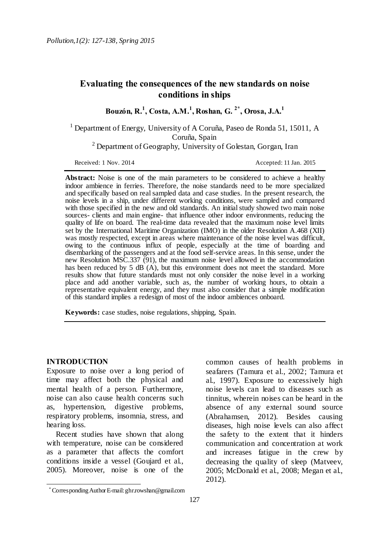# **Evaluating the consequences of the new standards on noise conditions in ships**

**Bouzón, R.<sup>1</sup> , Costa, A.M.<sup>1</sup> , Roshan, G. 2\* , Orosa, J.A.<sup>1</sup>**

<sup>1</sup> Department of Energy, University of A Coruña, Paseo de Ronda 51, 15011, A Coruña, Spain

<sup>2</sup> Department of Geography, University of Golestan, Gorgan, Iran

Received: 1 Nov. 2014 **Accepted: 11 Jan. 2015** 

**Abstract:** Noise is one of the main parameters to be considered to achieve a healthy indoor ambience in ferries. Therefore, the noise standards need to be more specialized and specifically based on real sampled data and case studies. In the present research, the noise levels in a ship, under different working conditions, were sampled and compared with those specified in the new and old standards. An initial study showed two main noise sources- clients and main engine- that influence other indoor environments, reducing the quality of life on board. The real-time data revealed that the maximum noise level limits set by the International Maritime Organization (IMO) in the older Resolution A.468 (XII) was mostly respected, except in areas where maintenance of the noise level was difficult, owing to the continuous influx of people, especially at the time of boarding and disembarking of the passengers and at the food self-service areas. In this sense, under the new Resolution MSC.337 (91), the maximum noise level allowed in the accommodation has been reduced by 5 dB (A), but this environment does not meet the standard. More results show that future standards must not only consider the noise level in a working place and add another variable, such as, the number of working hours, to obtain a representative equivalent energy, and they must also consider that a simple modification of this standard implies a redesign of most of the indoor ambiences onboard.

**Keywords:** case studies, noise regulations, shipping, Spain.

#### **INTRODUCTION**

 $\overline{a}$ 

Exposure to noise over a long period of time may affect both the physical and mental health of a person. Furthermore, noise can also cause health concerns such as, hypertension, digestive problems, respiratory problems, insomnia, stress, and hearing loss.

Recent studies have shown that along with temperature, noise can be considered as a parameter that affects the comfort conditions inside a vessel (Goujard et al., 2005). Moreover, noise is one of the

common causes of health problems in seafarers (Tamura et al., 2002; Tamura et al., 1997). Exposure to excessively high noise levels can lead to diseases such as tinnitus, wherein noises can be heard in the absence of any external sound source (Abrahamsen, 2012). Besides causing diseases, high noise levels can also affect the safety to the extent that it hinders communication and concentration at work and increases fatigue in the crew by decreasing the quality of sleep (Matveev, 2005; McDonald et al., 2008; Megan et al., 2012).

Corresponding Author E-mail: ghr.rowshan@gmail.com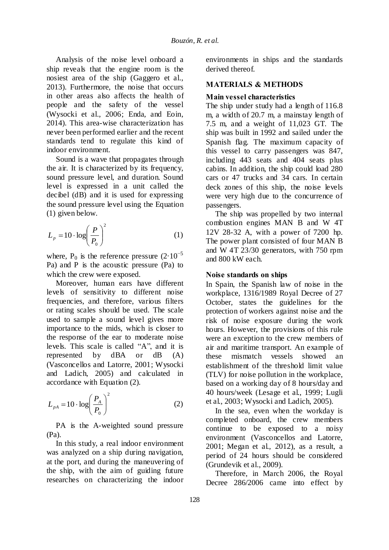Analysis of the noise level onboard a ship reveals that the engine room is the nosiest area of the ship (Gaggero et al., 2013). Furthermore, the noise that occurs in other areas also affects the health of people and the safety of the vessel (Wysocki et al., 2006; Enda, and Eoin, 2014). This area-wise characterization has never been performed earlier and the recent standards tend to regulate this kind of indoor environment.

Sound is a wave that propagates through the air. It is characterized by its frequency, sound pressure level, and duration. Sound level is expressed in a unit called the decibel (dB) and it is used for expressing the sound pressure level using the Equation (1) given below.

$$
L_p = 10 \cdot \log \left(\frac{P}{P_0}\right)^2 \tag{1}
$$

where, P<sub>0</sub> is the reference pressure  $(2.10^{-5})$ Pa) and P is the acoustic pressure (Pa) to which the crew were exposed.

Moreover, human ears have different levels of sensitivity to different noise frequencies, and therefore, various filters or rating scales should be used. The scale used to sample a sound level gives more importance to the mids, which is closer to the response of the ear to moderate noise levels. This scale is called "A", and it is represented by dBA or dB (A) (Vasconcellos and Latorre, 2001; Wysocki and Ladich, 2005) and calculated in accordance with Equation (2).

$$
L_{pA} = 10 \cdot \log \left(\frac{P_A}{P_0}\right)^2 \tag{2}
$$

PA is the A-weighted sound pressure (Pa).

In this study, a real indoor environment was analyzed on a ship during navigation, at the port, and during the maneuvering of the ship, with the aim of guiding future researches on characterizing the indoor

environments in ships and the standards derived thereof.

## **MATERIALS & METHODS**

### **Main vessel characteristics**

The ship under study had a length of 116.8 m, a width of 20.7 m, a mainstay length of 7.5 m, and a weight of 11,023 GT. The ship was built in 1992 and sailed under the Spanish flag. The maximum capacity of this vessel to carry passengers was 847, including 443 seats and 404 seats plus cabins. In addition, the ship could load 280 cars or 47 trucks and 34 cars. In certain deck zones of this ship, the noise levels were very high due to the concurrence of passengers.

The ship was propelled by two internal combustion engines MAN B and W 4T 12V 28-32 A, with a power of 7200 hp. The power plant consisted of four MAN B and W 4T 23/30 generators, with 750 rpm and 800 kW each.

### **Noise standards on ships**

In Spain, the Spanish law of noise in the workplace, 1316/1989 Royal Decree of 27 October, states the guidelines for the protection of workers against noise and the risk of noise exposure during the work hours. However, the provisions of this rule were an exception to the crew members of air and maritime transport. An example of these mismatch vessels showed an establishment of the threshold limit value (TLV) for noise pollution in the workplace, based on a working day of 8 hours/day and 40 hours/week (Lesage et al., 1999; Lugli et al., 2003; Wysocki and Ladich, 2005).

In the sea, even when the workday is completed onboard, the crew members continue to be exposed to a noisy environment (Vasconcellos and Latorre, 2001; Megan et al., 2012), as a result, a period of 24 hours should be considered (Grundevik et al., 2009).

Therefore, in March 2006, the Royal Decree 286/2006 came into effect by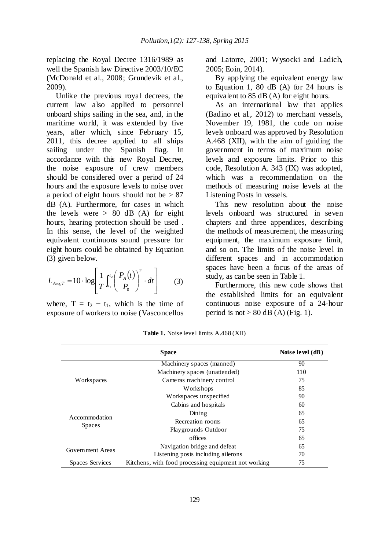replacing the Royal Decree 1316/1989 as well the Spanish law Directive 2003/10/EC (McDonald et al., 2008; Grundevik et al., 2009).

Unlike the previous royal decrees, the current law also applied to personnel onboard ships sailing in the sea, and, in the maritime world, it was extended by five years, after which, since February 15, 2011, this decree applied to all ships sailing under the Spanish flag. In accordance with this new Royal Decree, the noise exposure of crew members should be considered over a period of 24 hours and the exposure levels to noise over a period of eight hours should not be  $> 87$ dB (A). Furthermore, for cases in which the levels were  $> 80$  dB (A) for eight hours, hearing protection should be used . In this sense, the level of the weighted equivalent continuous sound pressure for eight hours could be obtained by Equation (3) given below.

$$
L_{Aeq,T} = 10 \cdot \log \left[ \frac{1}{T} \int_{t_1}^{t_2} \left( \frac{P_A(t)}{P_0} \right)^2 \cdot dt \right]
$$
 (3)

where,  $T = t_2 - t_1$ , which is the time of exposure of workers to noise (Vasconcellos

and Latorre, 2001; Wysocki and Ladich, 2005; Eoin, 2014).

By applying the equivalent energy law to Equation 1, 80 dB (A) for 24 hours is equivalent to 85 dB (A) for eight hours.

As an international law that applies (Badino et al., 2012) to merchant vessels, November 19, 1981, the code on noise levels onboard was approved by Resolution A.468 (XII), with the aim of guiding the government in terms of maximum noise levels and exposure limits. Prior to this code, Resolution A. 343 (IX) was adopted, which was a recommendation on the methods of measuring noise levels at the Listening Posts in vessels.

This new resolution about the noise levels onboard was structured in seven chapters and three appendices, describing the methods of measurement, the measuring equipment, the maximum exposure limit, and so on. The limits of the noise level in different spaces and in accommodation spaces have been a focus of the areas of study, as can be seen in Table 1.

Furthermore, this new code shows that the established limits for an equivalent continuous noise exposure of a 24-hour period is not  $> 80$  dB (A) (Fig. 1).

|                                | <b>Space</b>                                         | Noise level $(dB)$ |
|--------------------------------|------------------------------------------------------|--------------------|
| Workspaces                     | Machinery spaces (manned)                            | 90                 |
|                                | Machinery spaces (unattended)                        | 110                |
|                                | Cameras machinery control                            | 75                 |
|                                | Workshops                                            | 85                 |
|                                | Workspaces unspecified                               | 90                 |
| Accommodation<br><b>Spaces</b> | Cabins and hospitals                                 | 60                 |
|                                | Diming                                               | 65                 |
|                                | Recreation rooms                                     | 65                 |
|                                | Playgrounds Outdoor                                  | 75                 |
|                                | offices                                              | 65                 |
| Government Areas               | Navigation bridge and defeat                         | 65                 |
|                                | Listening posts including ailerons                   | 70                 |
| <b>Spaces Services</b>         | Kitchens, with food processing equipment not working | 75                 |

**Table 1.** Noise level limits A.468 (XII)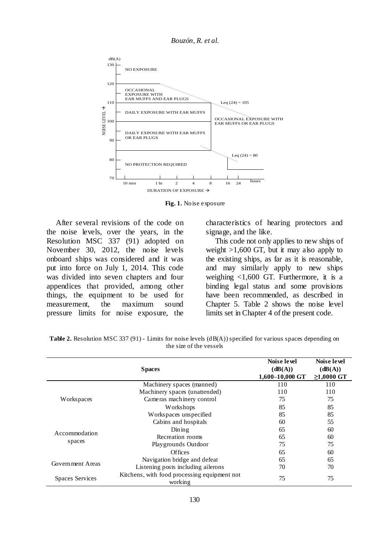*Bouzón, R. et al.*



**Fig. 1.** Noise exposure

After several revisions of the code on the noise levels, over the years, in the Resolution MSC 337 (91) adopted on November 30, 2012, the noise levels onboard ships was considered and it was put into force on July 1, 2014. This code was divided into seven chapters and four appendices that provided, among other things, the equipment to be used for measurement, the maximum sound pressure limits for noise exposure, the

characteristics of hearing protectors and signage, and the like.

This code not only applies to new ships of weight  $>1,600$  GT, but it may also apply to the existing ships, as far as it is reasonable, and may similarly apply to new ships weighing  $\langle 1,600 \text{ GT.}$  Furthermore, it is a binding legal status and some provisions have been recommended, as described in Chapter 5. Table 2 shows the noise level limits set in Chapter 4 of the present code.

|                         | <b>Spaces</b>                                           | Noise level<br>(dB(A))<br>1,600-10,000 GT | Noise level<br>(dB(A))<br>$≥1,0000$ GT |
|-------------------------|---------------------------------------------------------|-------------------------------------------|----------------------------------------|
| Workspaces              | Machinery spaces (manned)                               | 110                                       | 110                                    |
|                         | Machinery spaces (unattended)                           | 110                                       | 110                                    |
|                         | Cameras machinery control                               | 75                                        | 75                                     |
|                         | Workshops                                               | 85                                        | 85                                     |
|                         | Workspaces unspecified                                  | 85                                        | 85                                     |
| Accommodation<br>spaces | Cabins and hospitals                                    | 60                                        | 55                                     |
|                         | Diming                                                  | 65                                        | 60                                     |
|                         | Recreation rooms                                        | 65                                        | 60                                     |
|                         | Playgrounds Outdoor                                     | 75                                        | 75                                     |
|                         | <b>Offices</b>                                          | 65                                        | 60                                     |
| Government Areas        | Navigation bridge and defeat                            | 65                                        | 65                                     |
|                         | Listening posts including ailerons                      | 70                                        | 70                                     |
| <b>Spaces Services</b>  | Kitchens, with food processing equipment not<br>working | 75                                        | 75                                     |

**Table 2.** Resolution MSC 337 (91) - Limits for noise levels (dB(A)) specified for various spaces depending on the size of the vessels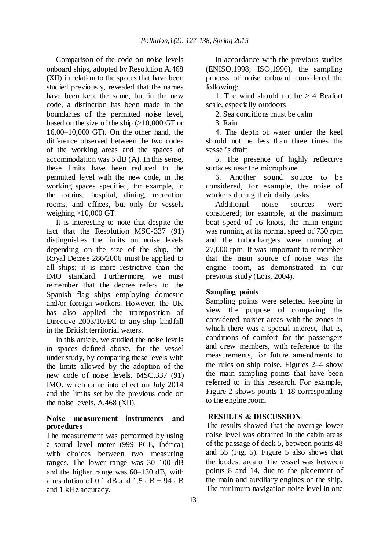Comparison of the code on noise levels onboard ships, adopted by Resolution A.468 (XII) in relation to the spaces that have been studied previously, revealed that the names have been kept the same, but in the new code, a distinction has been made in the boundaries of the permitted noise level, based on the size of the ship (>10,000 GT or 16,00–10,000 GT). On the other hand, the difference observed between the two codes of the working areas and the spaces of accommodation was 5 dB (A). In this sense, these limits have been reduced to the permitted level with the new code, in the working spaces specified, for example, in the cabins, hospital, dining, recreation rooms, and offices, but only for vessels weighing  $>10,000$  GT.

It is interesting to note that despite the fact that the Resolution MSC-337 (91) distinguishes the limits on noise levels depending on the size of the ship, the Royal Decree 286/2006 must be applied to all ships; it is more restrictive than the IMO standard. Furthermore, we must remember that the decree refers to the Spanish flag ships employing domestic and/or foreign workers. However, the UK has also applied the transposition of Directive 2003/10/EC to any ship landfall in the British territorial waters.

In this article, we studied the noise levels in spaces defined above, for the vessel under study, by comparing these levels with the limits allowed by the adoption of the new code of noise levels, MSC.337 (91) IMO, which came into effect on July 2014 and the limits set by the previous code on the noise levels, A.468 (XII).

### **Noise measurement instruments and procedures**

The measurement was performed by using a sound level meter (999 PCE, Ibérica) with choices between two measuring ranges. The lower range was 30–100 dB and the higher range was 60–130 dB, with a resolution of 0.1 dB and 1.5 dB  $\pm$  94 dB and 1 kHz accuracy.

In accordance with the previous studies (ENISO,1998; ISO,1996), the sampling process of noise onboard considered the following:

1. The wind should not be  $> 4$  Beafort scale, especially outdoors

2. Sea conditions must be calm

3. Rain

4. The depth of water under the keel should not be less than three times the vessel"s draft

5. The presence of highly reflective surfaces near the microphone

6. Another sound source to be considered, for example, the noise of workers during their daily tasks

Additional noise sources were considered; for example, at the maximum boat speed of 16 knots, the main engine was running at its normal speed of 750 rpm and the turbochargers were running at 27,000 rpm. It was important to remember that the main source of noise was the engine room, as demonstrated in our previous study (Lois, 2004).

## **Sampling points**

Sampling points were selected keeping in view the purpose of comparing the considered noisier areas with the zones in which there was a special interest, that is, conditions of comfort for the passengers and crew members, with reference to the measurements, for future amendments to the rules on ship noise. Figures 2–4 show the main sampling points that have been referred to in this research. For example, Figure 2 shows points 1–18 corresponding to the engine room.

## **RESULTS & DISCUSSION**

The results showed that the average lower noise level was obtained in the cabin areas of the passage of deck 5, between points 48 and 55 (Fig. 5). Figure 5 also shows that the loudest area of the vessel was between points 8 and 14, due to the placement of the main and auxiliary engines of the ship. The minimum navigation noise level in one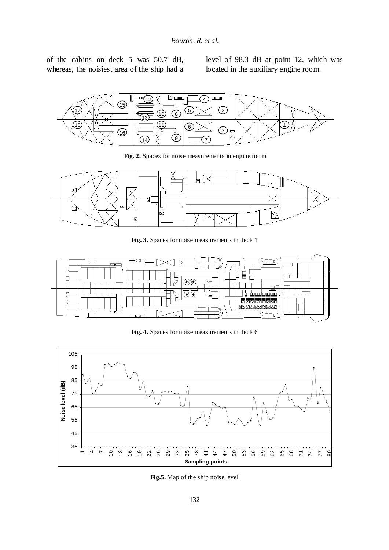of the cabins on deck 5 was 50.7 dB, whereas, the noisiest area of the ship had a level of 98.3 dB at point 12, which was located in the auxiliary engine room.



**Fig. 2.** Spaces for noise measurements in engine room



**Fig. 3.** Spaces for noise measurements in deck 1



**Fig. 4.** Spaces for noise measurements in deck 6



**Fig.5.** Map of the ship noise level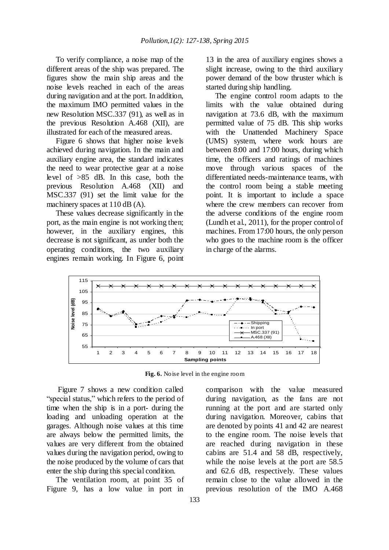To verify compliance, a noise map of the different areas of the ship was prepared. The figures show the main ship areas and the noise levels reached in each of the areas during navigation and at the port. In addition, the maximum IMO permitted values in the new Resolution MSC.337 (91), as well as in the previous Resolution A.468 (XII), are illustrated for each of the measured areas.

Figure 6 shows that higher noise levels achieved during navigation. In the main and auxiliary engine area, the standard indicates the need to wear protective gear at a noise level of >85 dB. In this case, both the previous Resolution A.468 (XII) and MSC.337 (91) set the limit value for the machinery spaces at 110 dB (A).

These values decrease significantly in the port, as the main engine is not working then; however, in the auxiliary engines, this decrease is not significant, as under both the operating conditions, the two auxiliary engines remain working. In Figure 6, point

13 in the area of auxiliary engines shows a slight increase, owing to the third auxiliary power demand of the bow thruster which is started during ship handling.

The engine control room adapts to the limits with the value obtained during navigation at 73.6 dB, with the maximum permitted value of 75 dB. This ship works with the Unattended Machinery Space (UMS) system, where work hours are between 8:00 and 17:00 hours, during which time, the officers and ratings of machines move through various spaces of the differentiated needs-maintenance teams, with the control room being a stable meeting point. It is important to include a space where the crew members can recover from the adverse conditions of the engine room (Lundh et al., 2011), for the proper control of machines. From 17:00 hours, the only person who goes to the machine room is the officer in charge of the alarms.



**Fig. 6.** Noise level in the engine room

Figure 7 shows a new condition called "special status," which refers to the period of time when the ship is in a port- during the loading and unloading operation at the garages. Although noise values at this time are always below the permitted limits, the values are very different from the obtained values during the navigation period, owing to the noise produced by the volume of cars that enter the ship during this special condition.

The ventilation room, at point 35 of Figure 9, has a low value in port in

comparison with the value measured during navigation, as the fans are not running at the port and are started only during navigation. Moreover, cabins that are denoted by points 41 and 42 are nearest to the engine room. The noise levels that are reached during navigation in these cabins are 51.4 and 58 dB, respectively, while the noise levels at the port are 58.5 and 62.6 dB, respectively. These values remain close to the value allowed in the previous resolution of the IMO A.468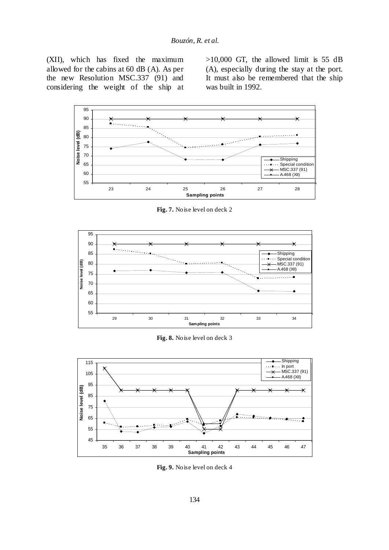(XII), which has fixed the maximum allowed for the cabins at 60 dB (A). As per the new Resolution MSC.337 (91) and considering the weight of the ship at  $>10,000$  GT, the allowed limit is 55 dB (A), especially during the stay at the port. It must also be remembered that the ship was built in 1992.



**Fig. 7.** Noise level on deck 2



**Fig. 8.** Noise level on deck 3



**Fig. 9.** Noise level on deck 4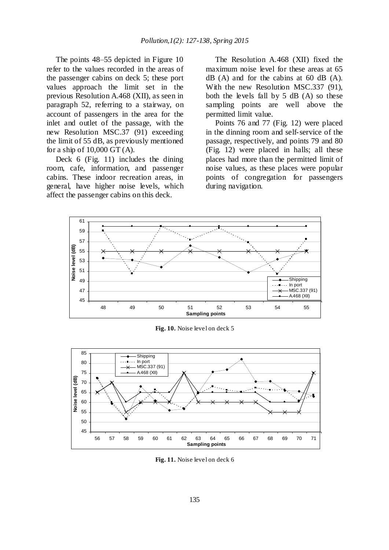The points 48–55 depicted in Figure 10 refer to the values recorded in the areas of the passenger cabins on deck 5; these port values approach the limit set in the previous Resolution A.468 (XII), as seen in paragraph 52, referring to a stairway, on account of passengers in the area for the inlet and outlet of the passage, with the new Resolution MSC.37 (91) exceeding the limit of 55 dB, as previously mentioned for a ship of 10,000 GT (A).

Deck 6 (Fig. 11) includes the dining room, cafe, information, and passenger cabins. These indoor recreation areas, in general, have higher noise levels, which affect the passenger cabins on this deck.

The Resolution A.468 (XII) fixed the maximum noise level for these areas at 65  $dB$  (A) and for the cabins at 60 dB (A). With the new Resolution MSC.337 (91), both the levels fall by 5 dB (A) so these sampling points are well above the permitted limit value.

Points 76 and 77 (Fig. 12) were placed in the dinning room and self-service of the passage, respectively, and points 79 and 80 (Fig. 12) were placed in halls; all these places had more than the permitted limit of noise values, as these places were popular points of congregation for passengers during navigation.



**Fig. 10.** Noise level on deck 5



**Fig. 11.** Noise level on deck 6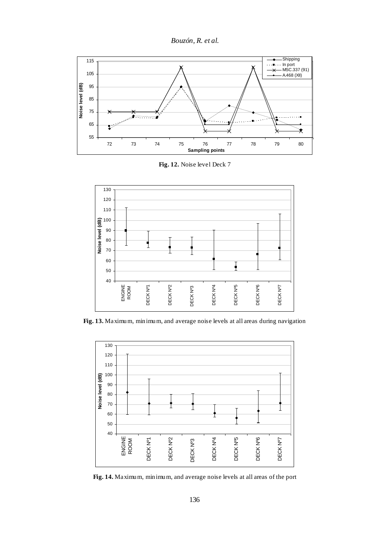



**Fig. 12.** Noise level Deck 7



**Fig. 13.** Maximum, minimum, and average noise levels at all areas during navigation



**Fig. 14.** Maximum, minimum, and average noise levels at all areas of the port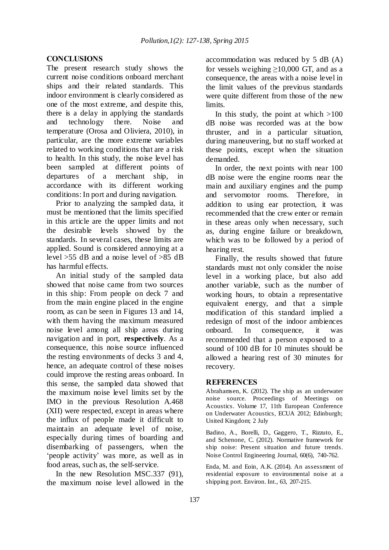#### **CONCLUSIONS**

The present research study shows the current noise conditions onboard merchant ships and their related standards. This indoor environment is clearly considered as one of the most extreme, and despite this, there is a delay in applying the standards and technology there. Noise and temperature (Orosa and Oliviera, 2010), in particular, are the more extreme variables related to working conditions that are a risk to health. In this study, the noise level has been sampled at different points of departures of a merchant ship, in accordance with its different working conditions: In port and during navigation.

Prior to analyzing the sampled data, it must be mentioned that the limits specified in this article are the upper limits and not the desirable levels showed by the standards. In several cases, these limits are applied. Sound is considered annoying at a level  $>55$  dB and a noise level of  $>85$  dB has harmful effects.

An initial study of the sampled data showed that noise came from two sources in this ship: From people on deck 7 and from the main engine placed in the engine room, as can be seen in Figures 13 and 14, with them having the maximum measured noise level among all ship areas during navigation and in port, **respectively**. As a consequence, this noise source influenced the resting environments of decks 3 and 4, hence, an adequate control of these noises could improve the resting areas onboard. In this sense, the sampled data showed that the maximum noise level limits set by the IMO in the previous Resolution A.468 (XII) were respected, except in areas where the influx of people made it difficult to maintain an adequate level of noise, especially during times of boarding and disembarking of passengers, when the "people activity" was more, as well as in food areas, such as, the self-service.

In the new Resolution MSC.337 (91), the maximum noise level allowed in the

accommodation was reduced by 5 dB (A) for vessels weighing  $\geq$ 10,000 GT, and as a consequence, the areas with a noise level in the limit values of the previous standards were quite different from those of the new limits.

In this study, the point at which  $>100$ dB noise was recorded was at the bow thruster, and in a particular situation, during maneuvering, but no staff worked at these points, except when the situation demanded.

In order, the next points with near 100 dB noise were the engine rooms near the main and auxiliary engines and the pump and servomotor rooms. Therefore, in addition to using ear protection, it was recommended that the crew enter or remain in these areas only when necessary, such as, during engine failure or breakdown, which was to be followed by a period of hearing rest.

Finally, the results showed that future standards must not only consider the noise level in a working place, but also add another variable, such as the number of working hours, to obtain a representative equivalent energy, and that a simple modification of this standard implied a redesign of most of the indoor ambiences onboard. In consequence, it was recommended that a person exposed to a sound of 100 dB for 10 minutes should be allowed a hearing rest of 30 minutes for recovery.

#### **REFERENCES**

Abrahamsen, K. (2012). The ship as an underwater noise source. Proceedings of Meetings on Acoustics. Volume 17, 11th European Conference on Underwater Acoustics, ECUA 2012; Edinburgh; United Kingdom; 2 July

Badino, A., Borelli, D., Gaggero, T., Rizzuto, E., and Schenone, C. (2012). Normative framework for ship noise: Present situation and future trends. Noise Control Engineering Journal, 60(6), 740-762.

Enda, M. and Eoin, A.K. (2014). An assessment of residential exposure to environmental noise at a shipping port. Environ. Int., 63, 207-215.